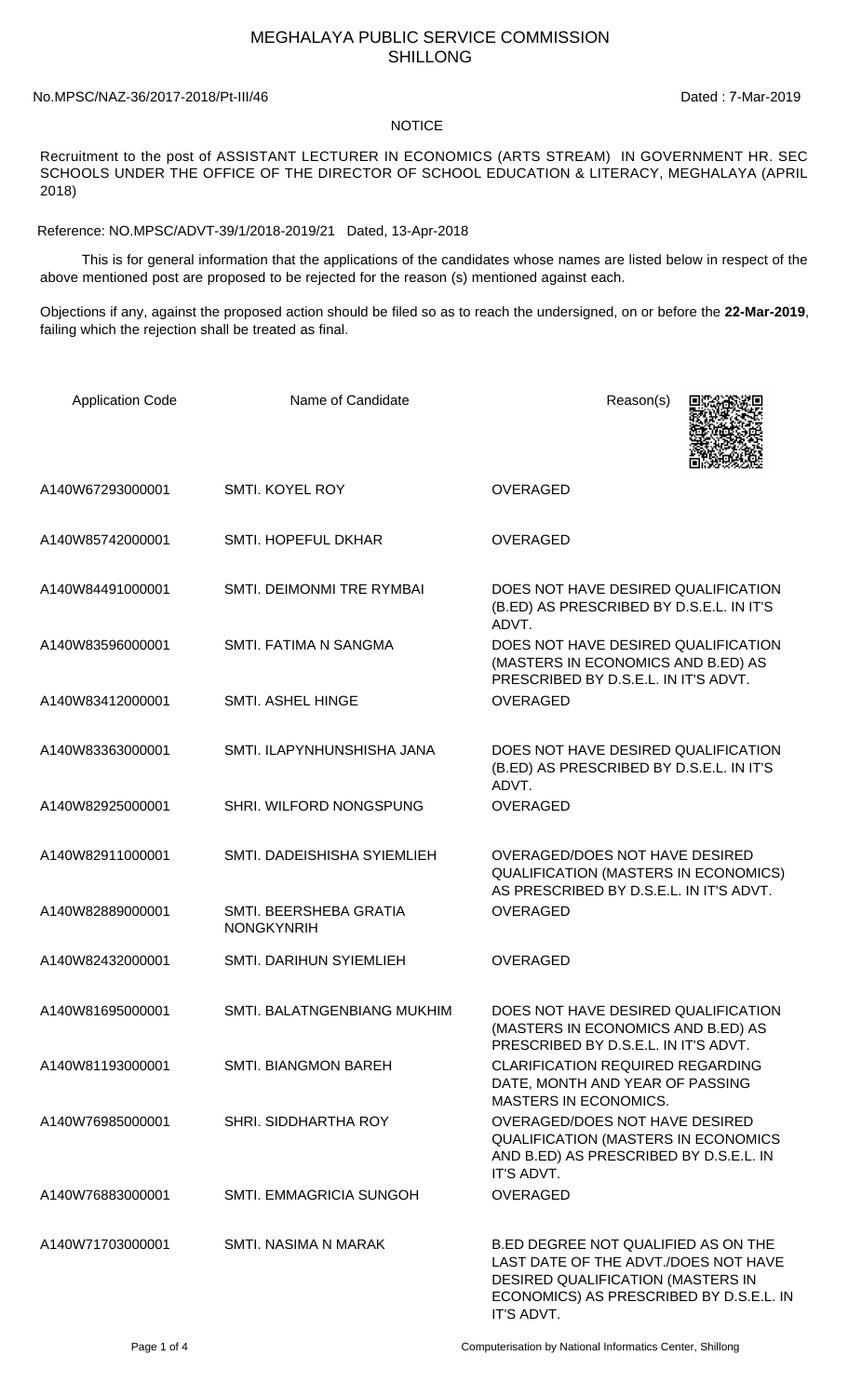## MEGHALAYA PUBLIC SERVICE COMMISSION SHILLONG

## No.MPSC/NAZ-36/2017-2018/Pt-III/46 Dated : 7-Mar-2019

## **NOTICE**

Recruitment to the post of ASSISTANT LECTURER IN ECONOMICS (ARTS STREAM) IN GOVERNMENT HR. SEC SCHOOLS UNDER THE OFFICE OF THE DIRECTOR OF SCHOOL EDUCATION & LITERACY, MEGHALAYA (APRIL 2018)

Reference: NO.MPSC/ADVT-39/1/2018-2019/21 Dated, 13-Apr-2018

 This is for general information that the applications of the candidates whose names are listed below in respect of the above mentioned post are proposed to be rejected for the reason (s) mentioned against each.

Objections if any, against the proposed action should be filed so as to reach the undersigned, on or before the **22-Mar-2019**, failing which the rejection shall be treated as final.

| <b>Application Code</b> | Name of Candidate                           | Reason(s)                                                                                                                                                                 |
|-------------------------|---------------------------------------------|---------------------------------------------------------------------------------------------------------------------------------------------------------------------------|
| A140W67293000001        | <b>SMTI. KOYEL ROY</b>                      | <b>OVERAGED</b>                                                                                                                                                           |
| A140W85742000001        | SMTI. HOPEFUL DKHAR                         | <b>OVERAGED</b>                                                                                                                                                           |
| A140W84491000001        | SMTI. DEIMONMI TRE RYMBAI                   | DOES NOT HAVE DESIRED QUALIFICATION<br>(B.ED) AS PRESCRIBED BY D.S.E.L. IN IT'S<br>ADVT.                                                                                  |
| A140W83596000001        | SMTI. FATIMA N SANGMA                       | DOES NOT HAVE DESIRED QUALIFICATION<br>(MASTERS IN ECONOMICS AND B.ED) AS<br>PRESCRIBED BY D.S.E.L. IN IT'S ADVT.                                                         |
| A140W83412000001        | SMTI. ASHEL HINGE                           | <b>OVERAGED</b>                                                                                                                                                           |
| A140W83363000001        | SMTI. ILAPYNHUNSHISHA JANA                  | DOES NOT HAVE DESIRED QUALIFICATION<br>(B.ED) AS PRESCRIBED BY D.S.E.L. IN IT'S<br>ADVT.                                                                                  |
| A140W82925000001        | SHRI. WILFORD NONGSPUNG                     | <b>OVERAGED</b>                                                                                                                                                           |
| A140W82911000001        | SMTI. DADEISHISHA SYIEMLIEH                 | OVERAGED/DOES NOT HAVE DESIRED<br><b>QUALIFICATION (MASTERS IN ECONOMICS)</b><br>AS PRESCRIBED BY D.S.E.L. IN IT'S ADVT.                                                  |
| A140W82889000001        | SMTI. BEERSHEBA GRATIA<br><b>NONGKYNRIH</b> | <b>OVERAGED</b>                                                                                                                                                           |
| A140W82432000001        | SMTI. DARIHUN SYIEMLIEH                     | <b>OVERAGED</b>                                                                                                                                                           |
| A140W81695000001        | SMTI. BALATNGENBIANG MUKHIM                 | DOES NOT HAVE DESIRED QUALIFICATION<br>(MASTERS IN ECONOMICS AND B.ED) AS<br>PRESCRIBED BY D.S.E.L. IN IT'S ADVT.                                                         |
| A140W81193000001        | <b>SMTI. BIANGMON BAREH</b>                 | <b>CLARIFICATION REQUIRED REGARDING</b><br>DATE, MONTH AND YEAR OF PASSING<br><b>MASTERS IN ECONOMICS.</b>                                                                |
| A140W76985000001        | SHRI. SIDDHARTHA ROY                        | OVERAGED/DOES NOT HAVE DESIRED<br>QUALIFICATION (MASTERS IN ECONOMICS<br>AND B.ED) AS PRESCRIBED BY D.S.E.L. IN<br>IT'S ADVT.                                             |
| A140W76883000001        | <b>SMTI. EMMAGRICIA SUNGOH</b>              | OVERAGED                                                                                                                                                                  |
| A140W71703000001        | SMTI. NASIMA N MARAK                        | B.ED DEGREE NOT QUALIFIED AS ON THE<br>LAST DATE OF THE ADVT./DOES NOT HAVE<br>DESIRED QUALIFICATION (MASTERS IN<br>ECONOMICS) AS PRESCRIBED BY D.S.E.L. IN<br>IT'S ADVT. |

Page 1 of 4 Computerisation by National Informatics Center, Shillong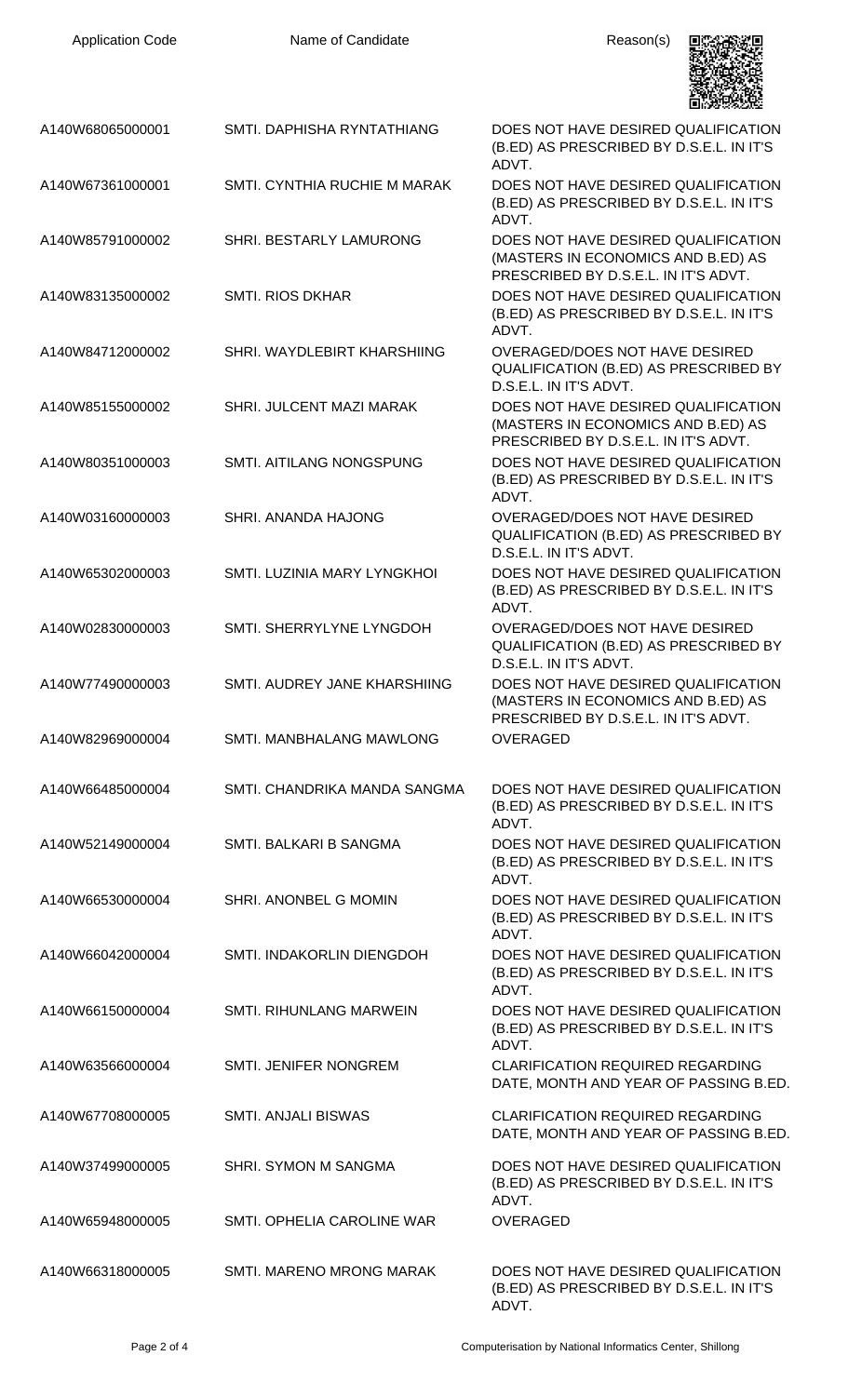| <b>Application Code</b> | Name of Candidate               | Reason(s)                                                                                                         |
|-------------------------|---------------------------------|-------------------------------------------------------------------------------------------------------------------|
| A140W68065000001        | SMTI. DAPHISHA RYNTATHIANG      | DOES NOT HAVE DESIRED QUALIFICATION<br>(B.ED) AS PRESCRIBED BY D.S.E.L. IN IT'S<br>ADVT.                          |
| A140W67361000001        | SMTI. CYNTHIA RUCHIE M MARAK    | DOES NOT HAVE DESIRED QUALIFICATION<br>(B.ED) AS PRESCRIBED BY D.S.E.L. IN IT'S<br>ADVT.                          |
| A140W85791000002        | SHRI. BESTARLY LAMURONG         | DOES NOT HAVE DESIRED QUALIFICATION<br>(MASTERS IN ECONOMICS AND B.ED) AS<br>PRESCRIBED BY D.S.E.L. IN IT'S ADVT. |
| A140W83135000002        | <b>SMTI. RIOS DKHAR</b>         | DOES NOT HAVE DESIRED QUALIFICATION<br>(B.ED) AS PRESCRIBED BY D.S.E.L. IN IT'S<br>ADVT.                          |
| A140W84712000002        | SHRI. WAYDLEBIRT KHARSHIING     | <b>OVERAGED/DOES NOT HAVE DESIRED</b><br>QUALIFICATION (B.ED) AS PRESCRIBED BY<br>D.S.E.L. IN IT'S ADVT.          |
| A140W85155000002        | SHRI. JULCENT MAZI MARAK        | DOES NOT HAVE DESIRED QUALIFICATION<br>(MASTERS IN ECONOMICS AND B.ED) AS<br>PRESCRIBED BY D.S.E.L. IN IT'S ADVT. |
| A140W80351000003        | SMTI. AITILANG NONGSPUNG        | DOES NOT HAVE DESIRED QUALIFICATION<br>(B.ED) AS PRESCRIBED BY D.S.E.L. IN IT'S<br>ADVT.                          |
| A140W03160000003        | SHRI. ANANDA HAJONG             | OVERAGED/DOES NOT HAVE DESIRED<br>QUALIFICATION (B.ED) AS PRESCRIBED BY<br>D.S.E.L. IN IT'S ADVT.                 |
| A140W65302000003        | SMTI. LUZINIA MARY LYNGKHOI     | DOES NOT HAVE DESIRED QUALIFICATION<br>(B.ED) AS PRESCRIBED BY D.S.E.L. IN IT'S<br>ADVT.                          |
| A140W02830000003        | SMTI. SHERRYLYNE LYNGDOH        | <b>OVERAGED/DOES NOT HAVE DESIRED</b><br>QUALIFICATION (B.ED) AS PRESCRIBED BY<br>D.S.E.L. IN IT'S ADVT.          |
| A140W77490000003        | SMTI, AUDREY JANE KHARSHIING    | DOES NOT HAVE DESIRED QUALIFICATION<br>(MASTERS IN ECONOMICS AND B.ED) AS<br>PRESCRIBED BY D.S.E.L. IN IT'S ADVT. |
| A140W82969000004        | <b>SMTI. MANBHALANG MAWLONG</b> | <b>OVERAGED</b>                                                                                                   |
| A140W66485000004        | SMTI. CHANDRIKA MANDA SANGMA    | DOES NOT HAVE DESIRED QUALIFICATION<br>(B.ED) AS PRESCRIBED BY D.S.E.L. IN IT'S<br>ADVT.                          |
| A140W52149000004        | SMTI. BALKARI B SANGMA          | DOES NOT HAVE DESIRED QUALIFICATION<br>(B.ED) AS PRESCRIBED BY D.S.E.L. IN IT'S<br>ADVT.                          |
| A140W66530000004        | SHRI. ANONBEL G MOMIN           | DOES NOT HAVE DESIRED QUALIFICATION<br>(B.ED) AS PRESCRIBED BY D.S.E.L. IN IT'S<br>ADVT.                          |
| A140W66042000004        | SMTI. INDAKORLIN DIENGDOH       | DOES NOT HAVE DESIRED QUALIFICATION<br>(B.ED) AS PRESCRIBED BY D.S.E.L. IN IT'S<br>ADVT.                          |
| A140W66150000004        | <b>SMTI. RIHUNLANG MARWEIN</b>  | DOES NOT HAVE DESIRED QUALIFICATION<br>(B.ED) AS PRESCRIBED BY D.S.E.L. IN IT'S<br>ADVT.                          |
| A140W63566000004        | SMTI. JENIFER NONGREM           | <b>CLARIFICATION REQUIRED REGARDING</b><br>DATE, MONTH AND YEAR OF PASSING B.ED.                                  |
| A140W67708000005        | <b>SMTI. ANJALI BISWAS</b>      | <b>CLARIFICATION REQUIRED REGARDING</b><br>DATE, MONTH AND YEAR OF PASSING B.ED.                                  |
| A140W37499000005        | SHRI. SYMON M SANGMA            | DOES NOT HAVE DESIRED QUALIFICATION<br>(B.ED) AS PRESCRIBED BY D.S.E.L. IN IT'S<br>ADVT.                          |
| A140W65948000005        | SMTI. OPHELIA CAROLINE WAR      | <b>OVERAGED</b>                                                                                                   |
| A140W66318000005        | SMTI. MARENO MRONG MARAK        | DOES NOT HAVE DESIRED QUALIFICATION<br>(B.ED) AS PRESCRIBED BY D.S.E.L. IN IT'S<br>ADVT.                          |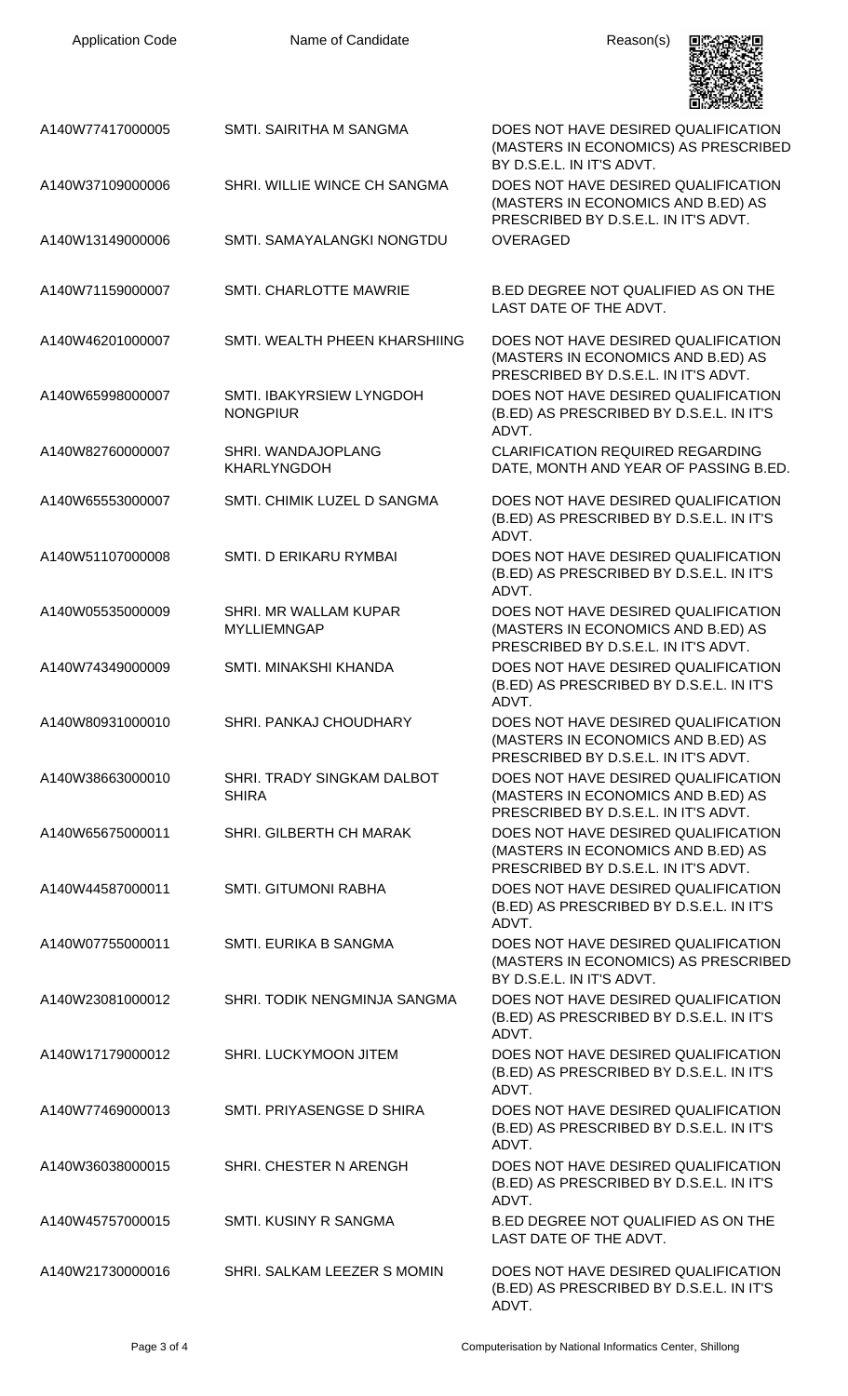| <b>Application Code</b> | Name of Candidate                           | Reason(s)                                                                                                         |
|-------------------------|---------------------------------------------|-------------------------------------------------------------------------------------------------------------------|
| A140W77417000005        | SMTI. SAIRITHA M SANGMA                     | DOES NOT HAVE DESIRED QUALIFICATION<br>(MASTERS IN ECONOMICS) AS PRESCRIBED<br>BY D.S.E.L. IN IT'S ADVT.          |
| A140W37109000006        | SHRI. WILLIE WINCE CH SANGMA                | DOES NOT HAVE DESIRED QUALIFICATION<br>(MASTERS IN ECONOMICS AND B.ED) AS<br>PRESCRIBED BY D.S.E.L. IN IT'S ADVT. |
| A140W13149000006        | SMTI. SAMAYALANGKI NONGTDU                  | <b>OVERAGED</b>                                                                                                   |
| A140W71159000007        | SMTI. CHARLOTTE MAWRIE                      | B.ED DEGREE NOT QUALIFIED AS ON THE<br>LAST DATE OF THE ADVT.                                                     |
| A140W46201000007        | SMTI. WEALTH PHEEN KHARSHIING               | DOES NOT HAVE DESIRED QUALIFICATION<br>(MASTERS IN ECONOMICS AND B.ED) AS<br>PRESCRIBED BY D.S.E.L. IN IT'S ADVT. |
| A140W65998000007        | SMTI. IBAKYRSIEW LYNGDOH<br><b>NONGPIUR</b> | DOES NOT HAVE DESIRED QUALIFICATION<br>(B.ED) AS PRESCRIBED BY D.S.E.L. IN IT'S<br>ADVT.                          |
| A140W82760000007        | SHRI. WANDAJOPLANG<br><b>KHARLYNGDOH</b>    | <b>CLARIFICATION REQUIRED REGARDING</b><br>DATE, MONTH AND YEAR OF PASSING B.ED.                                  |
| A140W65553000007        | SMTI. CHIMIK LUZEL D SANGMA                 | DOES NOT HAVE DESIRED QUALIFICATION<br>(B.ED) AS PRESCRIBED BY D.S.E.L. IN IT'S<br>ADVT.                          |
| A140W51107000008        | SMTI. D ERIKARU RYMBAI                      | DOES NOT HAVE DESIRED QUALIFICATION<br>(B.ED) AS PRESCRIBED BY D.S.E.L. IN IT'S<br>ADVT.                          |
| A140W05535000009        | SHRI. MR WALLAM KUPAR<br><b>MYLLIEMNGAP</b> | DOES NOT HAVE DESIRED QUALIFICATION<br>(MASTERS IN ECONOMICS AND B.ED) AS<br>PRESCRIBED BY D.S.E.L. IN IT'S ADVT. |
| A140W74349000009        | SMTI. MINAKSHI KHANDA                       | DOES NOT HAVE DESIRED QUALIFICATION<br>(B.ED) AS PRESCRIBED BY D.S.E.L. IN IT'S<br>ADVT.                          |
| A140W80931000010        | SHRI. PANKAJ CHOUDHARY                      | DOES NOT HAVE DESIRED QUALIFICATION<br>(MASTERS IN ECONOMICS AND B.ED) AS<br>PRESCRIBED BY D.S.E.L. IN IT'S ADVT. |
| A140W38663000010        | SHRI. TRADY SINGKAM DALBOT<br><b>SHIRA</b>  | DOES NOT HAVE DESIRED QUALIFICATION<br>(MASTERS IN ECONOMICS AND B.ED) AS<br>PRESCRIBED BY D.S.E.L. IN IT'S ADVT. |
| A140W65675000011        | <b>SHRI. GILBERTH CH MARAK</b>              | DOES NOT HAVE DESIRED QUALIFICATION<br>(MASTERS IN ECONOMICS AND B.ED) AS<br>PRESCRIBED BY D.S.E.L. IN IT'S ADVT. |
| A140W44587000011        | <b>SMTI. GITUMONI RABHA</b>                 | DOES NOT HAVE DESIRED QUALIFICATION<br>(B.ED) AS PRESCRIBED BY D.S.E.L. IN IT'S<br>ADVT.                          |
| A140W07755000011        | SMTI. EURIKA B SANGMA                       | DOES NOT HAVE DESIRED QUALIFICATION<br>(MASTERS IN ECONOMICS) AS PRESCRIBED<br>BY D.S.E.L. IN IT'S ADVT.          |
| A140W23081000012        | SHRI. TODIK NENGMINJA SANGMA                | DOES NOT HAVE DESIRED QUALIFICATION<br>(B.ED) AS PRESCRIBED BY D.S.E.L. IN IT'S<br>ADVT.                          |
| A140W17179000012        | SHRI. LUCKYMOON JITEM                       | DOES NOT HAVE DESIRED QUALIFICATION<br>(B.ED) AS PRESCRIBED BY D.S.E.L. IN IT'S<br>ADVT.                          |
| A140W77469000013        | SMTI. PRIYASENGSE D SHIRA                   | DOES NOT HAVE DESIRED QUALIFICATION<br>(B.ED) AS PRESCRIBED BY D.S.E.L. IN IT'S<br>ADVT.                          |
| A140W36038000015        | SHRI. CHESTER N ARENGH                      | DOES NOT HAVE DESIRED QUALIFICATION<br>(B.ED) AS PRESCRIBED BY D.S.E.L. IN IT'S<br>ADVT.                          |
| A140W45757000015        | <b>SMTI. KUSINY R SANGMA</b>                | B.ED DEGREE NOT QUALIFIED AS ON THE<br>LAST DATE OF THE ADVT.                                                     |
| A140W21730000016        | SHRI. SALKAM LEEZER S MOMIN                 | DOES NOT HAVE DESIRED QUALIFICATION<br>(B.ED) AS PRESCRIBED BY D.S.E.L. IN IT'S                                   |

Application Code **Name of Candidate** Application Code Reason(s)

ADVT.